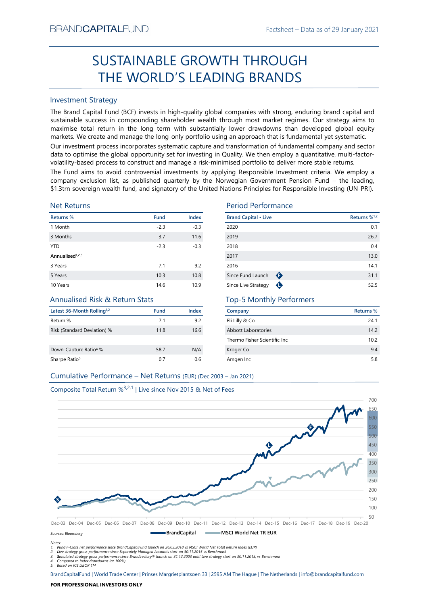# Factsheet – Data as of 29 January 2021<br> **COUGH** SUSTAINABLE GROWTH THROUGH THE WORLD'S LEADING BRANDS

# Investment Strategy

FRAND-CAPTIALI-UND<br>
Factsmeet – Losta as of 29 January 2021<br>
SUSTAINABLE GROWTH THROUGH<br>
THE WORLD'S LEADING BRANDS<br>
Investment Strategy<br>
The Brand Captib Fund II (SCF) invests in high-quality global companies with strong **SUSTAINABLE GROWTH THROUGH**<br> **THE WORLD'S LEADING BRANDS**<br>
Investment Strategy<br>
IThe Brand Gapital Fund (BCF) invests in high-quality global companies with strong, enduring brand capital and<br>
sustainable success in compo BRAND**CAPITAL**FUND<br>
SUSTAINABLE GROWTH THROUGH<br>
THE WORLD'S LEADING BRANDS<br>
Investment Strategy<br>
The Brand Capital Fund (BCF) invests in high-quality global companies with strong, enduring brand capital and<br>
sustainable su BRAND**CAPITAL**FUND<br>
Factsheet – Data as of 29 January 2021<br> **SUSTAINABLE GROWTH THROUGH**<br> **THE WORLD'S LEADING BRANDS**<br>
Investment Strategy<br>
The Brand Capital Fund (BCF) invests in high-quality global companies with strong EXANDCAPITALFUND<br>
Factsheet – Data as of 29 January 2021<br>
SUSTAINABLE GROWTH THROUGH<br>
THE WORLD'S LEADING BRANDS<br>
Investment Strategy<br>
The Brand Capital Fund (BCF) invests in high-quality global companies with strong, endu BRAND**CAPITAL**FUND<br>
SUSTAINABLE GROWTH THROUGH<br>
THE WORLD'S LEADING BRANDS<br>
Investment Strategy<br>
Investment Strategy<br>
Investment Strategy<br>
Investment Strategy<br>
Investment Strategy<br>
The Brand Capital Fund (BCF) invests in h BRAND**CAPITAL**FUND<br>
SUSTAINABLE GROWTH THROUGH<br>
THE WORLD'S LEADING BRANDS<br>
Investment Strategy<br>
Investment Strategy<br>
Investment Strategy<br>
Investment Strategy<br>
Investment Strategy<br>
Investment Strategy<br>
and Captal is und (I BRAND**CAPITAL**FUND<br>
SUSTAINABLE GROWTH THROUGH<br>
THE WORLD'S LEADING BRANDS<br>
Investment Strategy<br>
Interesting of the grand Capital Fund (BCF) invests in high-quality global companies with strong, enduring brand capital and<br> BRANDCAPITALFUND<br>
SUSTAINABLE GROWTH THROUGH<br>
THE WORLD'S LEADING BRANDS<br>
Investment Strategy<br>
The Brand Capital Fund (BCF) invests in high-quality global companies with strong, enduring brand capital and<br>
sustainable succ BRANDCAPITALFUND Factsheet – Data as of 29 January 2021<br>
SUSTAINABLE GROWTH THROUGH<br>
THE WORLD'S LEADING BRANDS<br>
Investment Strategy<br>
Investment Strategy<br>
Investment Strategy<br>
Suspections and Controller Investment criteria **EXAMDCAPITALFUND**<br> **COSTAINABLE GROWTH THROUGH**<br> **COSTAINABLE GROWTH THROUGH**<br> **COSTAINABLE GROWTH THROUGH**<br> **COSTAINABLE GROWTH THROUGH**<br>
THE WORLD'S LEADING BRANDS<br>
Sussissimals success in companing shareholder wealth **ERANDCAPITALFUND**<br> **SUSTAINABLE GROWTH THROUGH**<br> **THE WORLD'S LEADING BRANDS**<br>
Investment Strategy<br>
Investment Strategy<br>
Investment Strategy<br>
Investment Strategy<br>
Sustainable success in compounding shareholder wealth fun

# Net Returns

| <b>Investment Strategy</b>                                       |        |        |                                                                                                                                                                                                                                                                                                                                                                                                                                                                                                                                                                                                                                                                                                                                                                                                       |                          |
|------------------------------------------------------------------|--------|--------|-------------------------------------------------------------------------------------------------------------------------------------------------------------------------------------------------------------------------------------------------------------------------------------------------------------------------------------------------------------------------------------------------------------------------------------------------------------------------------------------------------------------------------------------------------------------------------------------------------------------------------------------------------------------------------------------------------------------------------------------------------------------------------------------------------|--------------------------|
|                                                                  |        |        | The Brand Capital Fund (BCF) invests in high-quality global companies with strong, enduring brand capital and<br>sustainable success in compounding shareholder wealth through most market regimes. Our strategy aims to<br>maximise total return in the long term with substantially lower drawdowns than developed global equity<br>markets. We create and manage the long-only portfolio using an approach that is fundamental yet systematic.<br>Our investment process incorporates systematic capture and transformation of fundamental company and sector<br>data to optimise the global opportunity set for investing in Quality. We then employ a quantitative, multi-factor-<br>volatility-based process to construct and manage a risk-minimised portfolio to deliver more stable returns. |                          |
|                                                                  |        |        | The Fund aims to avoid controversial investments by applying Responsible Investment criteria. We employ a<br>company exclusion list, as published quarterly by the Norwegian Government Pension Fund - the leading,<br>\$1.3trn sovereign wealth fund, and signatory of the United Nations Principles for Responsible Investing (UN-PRI).                                                                                                                                                                                                                                                                                                                                                                                                                                                             |                          |
| <b>Net Returns</b>                                               |        |        | <b>Period Performance</b>                                                                                                                                                                                                                                                                                                                                                                                                                                                                                                                                                                                                                                                                                                                                                                             |                          |
| Returns %                                                        | Fund   | Index  | <b>Brand Capital • Live</b>                                                                                                                                                                                                                                                                                                                                                                                                                                                                                                                                                                                                                                                                                                                                                                           | Returns % <sup>1,2</sup> |
| 1 Month                                                          | $-2.3$ | $-0.3$ | 2020                                                                                                                                                                                                                                                                                                                                                                                                                                                                                                                                                                                                                                                                                                                                                                                                  | 0.1                      |
| 3 Months                                                         | 3.7    | 11.6   | 2019                                                                                                                                                                                                                                                                                                                                                                                                                                                                                                                                                                                                                                                                                                                                                                                                  | 26.7                     |
| <b>YTD</b>                                                       | $-2.3$ | $-0.3$ | 2018                                                                                                                                                                                                                                                                                                                                                                                                                                                                                                                                                                                                                                                                                                                                                                                                  | 0.4                      |
| Annualised <sup>1,2,3</sup>                                      |        |        | 2017                                                                                                                                                                                                                                                                                                                                                                                                                                                                                                                                                                                                                                                                                                                                                                                                  | 13.0                     |
| 3 Years                                                          | 7.1    | 9.2    | 2016                                                                                                                                                                                                                                                                                                                                                                                                                                                                                                                                                                                                                                                                                                                                                                                                  | 14.1                     |
| 5 Years                                                          | 10.3   | 10.8   | $\bullet$<br>Since Fund Launch                                                                                                                                                                                                                                                                                                                                                                                                                                                                                                                                                                                                                                                                                                                                                                        | 31.1                     |
| 10 Years                                                         | 14.6   | 10.9   | Since Live Strategy<br>$\bullet$                                                                                                                                                                                                                                                                                                                                                                                                                                                                                                                                                                                                                                                                                                                                                                      | 52.5                     |
| <b>Annualised Risk &amp; Return Stats</b>                        |        |        | <b>Top-5 Monthly Performers</b>                                                                                                                                                                                                                                                                                                                                                                                                                                                                                                                                                                                                                                                                                                                                                                       |                          |
| Latest 36-Month Rolling <sup>1,2</sup>                           | Fund   | Index  | Company                                                                                                                                                                                                                                                                                                                                                                                                                                                                                                                                                                                                                                                                                                                                                                                               | Returns %                |
| Return %                                                         | 7.1    | 9.2    | Eli Lilly & Co                                                                                                                                                                                                                                                                                                                                                                                                                                                                                                                                                                                                                                                                                                                                                                                        | 24.1                     |
| Risk (Standard Deviation) %                                      | 11.8   | 16.6   | <b>Abbott Laboratories</b>                                                                                                                                                                                                                                                                                                                                                                                                                                                                                                                                                                                                                                                                                                                                                                            | 14.2                     |
|                                                                  |        |        | Thermo Fisher Scientific Inc                                                                                                                                                                                                                                                                                                                                                                                                                                                                                                                                                                                                                                                                                                                                                                          | 10.2                     |
|                                                                  | 58.7   | N/A    | Kroger Co                                                                                                                                                                                                                                                                                                                                                                                                                                                                                                                                                                                                                                                                                                                                                                                             | 9.4                      |
| Down-Capture Ratio <sup>4</sup> %                                | 0.7    | 0.6    | Amgen Inc                                                                                                                                                                                                                                                                                                                                                                                                                                                                                                                                                                                                                                                                                                                                                                                             | 5.8                      |
| Sharpe Ratio <sup>5</sup>                                        |        |        |                                                                                                                                                                                                                                                                                                                                                                                                                                                                                                                                                                                                                                                                                                                                                                                                       |                          |
| Cumulative Performance - Net Returns (EUR) (Dec 2003 - Jan 2021) |        |        |                                                                                                                                                                                                                                                                                                                                                                                                                                                                                                                                                                                                                                                                                                                                                                                                       |                          |

# Annualised Risk & Return Stats

| Latest 36-Month Rolling <sup>1,2</sup> | <b>Fund</b> | Index |
|----------------------------------------|-------------|-------|
| Return %                               | 7.1         | 9.2   |
| Risk (Standard Deviation) %            | 11.8        | 16.6  |
| Down-Capture Ratio <sup>4</sup> %      | 58.7        | N/A   |
| Sharpe Ratio <sup>5</sup>              | 0.7         | 0.6   |

# Period Performance

| BRANU <b>UAPHAL</b> FUND                                                      |             |        |                                                                                                                                                                                                                                                                                                                                                                                                                                                                                                                                                                                | Hactsheet – Data as of 29 January 2021 |
|-------------------------------------------------------------------------------|-------------|--------|--------------------------------------------------------------------------------------------------------------------------------------------------------------------------------------------------------------------------------------------------------------------------------------------------------------------------------------------------------------------------------------------------------------------------------------------------------------------------------------------------------------------------------------------------------------------------------|----------------------------------------|
|                                                                               |             |        | SUSTAINABLE GROWTH THROUGH                                                                                                                                                                                                                                                                                                                                                                                                                                                                                                                                                     |                                        |
|                                                                               |             |        | THE WORLD'S LEADING BRANDS                                                                                                                                                                                                                                                                                                                                                                                                                                                                                                                                                     |                                        |
| <b>Investment Strategy</b>                                                    |             |        |                                                                                                                                                                                                                                                                                                                                                                                                                                                                                                                                                                                |                                        |
|                                                                               |             |        | The Brand Capital Fund (BCF) invests in high-quality global companies with strong, enduring brand capital and<br>sustainable success in compounding shareholder wealth through most market regimes. Our strategy aims to<br>maximise total return in the long term with substantially lower drawdowns than developed global equity<br>markets. We create and manage the long-only portfolio using an approach that is fundamental yet systematic.<br>Our investment process incorporates systematic capture and transformation of fundamental company and sector               |                                        |
|                                                                               |             |        | data to optimise the global opportunity set for investing in Quality. We then employ a quantitative, multi-factor-<br>volatility-based process to construct and manage a risk-minimised portfolio to deliver more stable returns.<br>The Fund aims to avoid controversial investments by applying Responsible Investment criteria. We employ a<br>company exclusion list, as published quarterly by the Norwegian Government Pension Fund - the leading,<br>\$1.3trn sovereign wealth fund, and signatory of the United Nations Principles for Responsible Investing (UN-PRI). |                                        |
| <b>Net Returns</b>                                                            |             |        | <b>Period Performance</b>                                                                                                                                                                                                                                                                                                                                                                                                                                                                                                                                                      |                                        |
| Returns %                                                                     | <b>Fund</b> | Index  | <b>Brand Capital • Live</b>                                                                                                                                                                                                                                                                                                                                                                                                                                                                                                                                                    | Returns % <sup>1,2</sup>               |
| 1 Month                                                                       | $-2.3$      | $-0.3$ | 2020                                                                                                                                                                                                                                                                                                                                                                                                                                                                                                                                                                           | 0.1                                    |
| 3 Months                                                                      | 3.7         | 11.6   | 2019                                                                                                                                                                                                                                                                                                                                                                                                                                                                                                                                                                           | 26.7                                   |
| <b>YTD</b>                                                                    | $-2.3$      | $-0.3$ | 2018                                                                                                                                                                                                                                                                                                                                                                                                                                                                                                                                                                           | 0.4                                    |
| Annualised <sup>1,2,3</sup>                                                   |             |        | 2017                                                                                                                                                                                                                                                                                                                                                                                                                                                                                                                                                                           | 13.0                                   |
| 3 Years                                                                       | 7.1         | 9.2    | 2016                                                                                                                                                                                                                                                                                                                                                                                                                                                                                                                                                                           | 14.1                                   |
| 5 Years                                                                       | 10.3        | 10.8   | Since Fund Launch<br>$\bullet$                                                                                                                                                                                                                                                                                                                                                                                                                                                                                                                                                 | 31.1                                   |
| 10 Years                                                                      | 14.6        | 10.9   | Since Live Strategy                                                                                                                                                                                                                                                                                                                                                                                                                                                                                                                                                            | 52.5                                   |
| Annualised Risk & Return Stats                                                |             |        | <b>Top-5 Monthly Performers</b>                                                                                                                                                                                                                                                                                                                                                                                                                                                                                                                                                |                                        |
| Latest 36-Month Rolling <sup>1,2</sup>                                        | Fund        | Index  | Company                                                                                                                                                                                                                                                                                                                                                                                                                                                                                                                                                                        | <b>Returns %</b>                       |
| Return %                                                                      | 7.1         | 9.2    | Eli Lilly & Co                                                                                                                                                                                                                                                                                                                                                                                                                                                                                                                                                                 | 24.1                                   |
| Risk (Standard Deviation) %                                                   | 11.8        | 16.6   | Abbott Laboratories                                                                                                                                                                                                                                                                                                                                                                                                                                                                                                                                                            | 14.2                                   |
|                                                                               |             |        | Thermo Fisher Scientific Inc                                                                                                                                                                                                                                                                                                                                                                                                                                                                                                                                                   | 10.2                                   |
| Down-Capture Ratio <sup>4</sup> %                                             | 58.7        | N/A    | Kroger Co                                                                                                                                                                                                                                                                                                                                                                                                                                                                                                                                                                      | 9.4                                    |
| Sharpe Ratio <sup>5</sup>                                                     | 0.7         | 0.6    | Amgen Inc                                                                                                                                                                                                                                                                                                                                                                                                                                                                                                                                                                      | 5.8                                    |
| Cumulative Performance - Net Returns (EUR) (Dec 2003 - Jan 2021)              |             |        |                                                                                                                                                                                                                                                                                                                                                                                                                                                                                                                                                                                |                                        |
| Composite Total Return % <sup>3,2,1</sup>   Live since Nov 2015 & Net of Fees |             |        |                                                                                                                                                                                                                                                                                                                                                                                                                                                                                                                                                                                |                                        |
|                                                                               |             |        |                                                                                                                                                                                                                                                                                                                                                                                                                                                                                                                                                                                |                                        |
|                                                                               |             |        |                                                                                                                                                                                                                                                                                                                                                                                                                                                                                                                                                                                | 700                                    |

# Top-5 Monthly Performers

| Company                       | Returns % |
|-------------------------------|-----------|
| Eli Lilly & Co                | 24.1      |
| Abbott Laboratories           | 14.2      |
| Thermo Fisher Scientific Inc. | 10.2      |
| Kroger Co                     | 9.4       |
| Amgen Inc                     | 5.8       |



Notes:

1. Fund F-Class net performance since BrandCapitalFund launch on 26.03.2018 vs MSCI World Net Total Return Index (EUR)

2. Live strategy gross performance since Separately Managed Accounts start on 30.11.2015 vs Benchmark<br>3. Simulated strategy gross performance since Brandirectory® launch on 31.12.2003 until Live strategy start on 30.11.201

5. Based on ICE LIBOR 1M